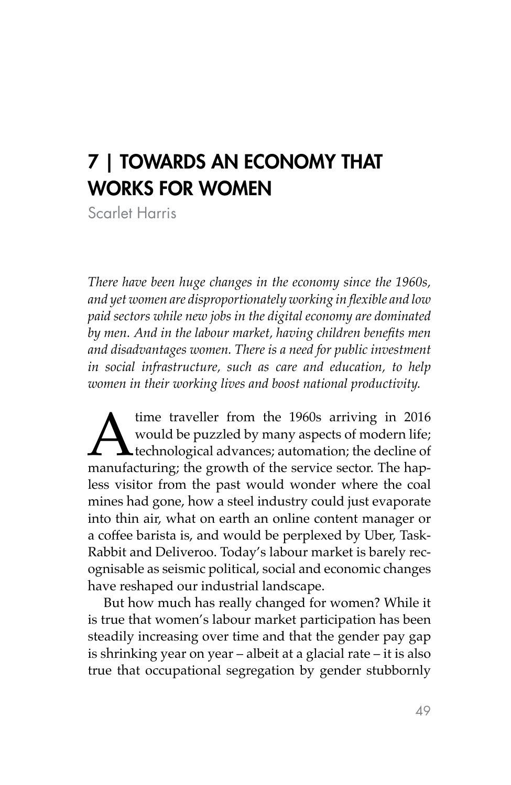## 7 | TOWARDS AN ECONOMY THAT WORKS FOR WOMEN

Scarlet Harris

*There have been huge changes in the economy since the 1960s, and yet women are disproportionately working in flexible and low paid sectors while new jobs in the digital economy are dominated by men. And in the labour market, having children benefits men and disadvantages women. There is a need for public investment in social infrastructure, such as care and education, to help women in their working lives and boost national productivity.*

time traveller from the 1960s arriving in 2016<br>would be puzzled by many aspects of modern life;<br>technological advances; automation; the decline of<br>manufacturing; the growth of the service sector. The hapwould be puzzled by many aspects of modern life; technological advances; automation; the decline of less visitor from the past would wonder where the coal mines had gone, how a steel industry could just evaporate into thin air, what on earth an online content manager or a coffee barista is, and would be perplexed by Uber, Task-Rabbit and Deliveroo. Today's labour market is barely recognisable as seismic political, social and economic changes have reshaped our industrial landscape.

But how much has really changed for women? While it is true that women's labour market participation has been steadily increasing over time and that the gender pay gap is shrinking year on year – albeit at a glacial rate – it is also true that occupational segregation by gender stubbornly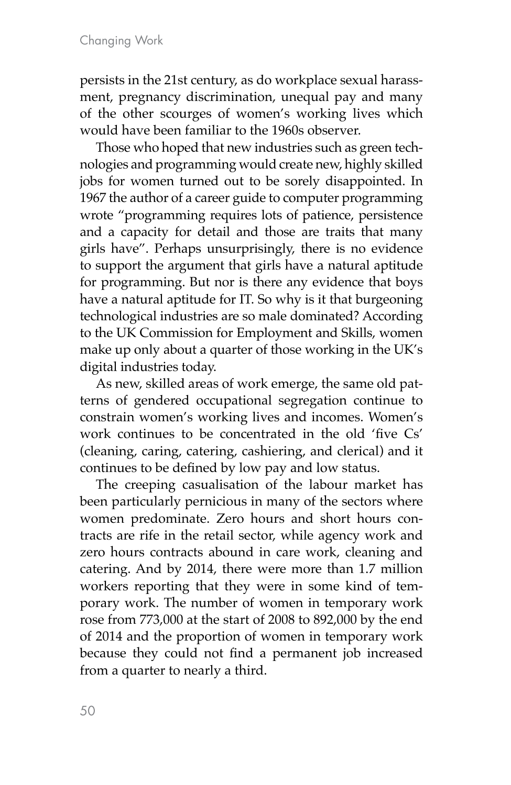persists in the 21st century, as do workplace sexual harassment, pregnancy discrimination, unequal pay and many of the other scourges of women's working lives which would have been familiar to the 1960s observer.

Those who hoped that new industries such as green technologies and programming would create new, highly skilled jobs for women turned out to be sorely disappointed. In 1967 the author of a career guide to computer programming wrote "programming requires lots of patience, persistence and a capacity for detail and those are traits that many girls have". Perhaps unsurprisingly, there is no evidence to support the argument that girls have a natural aptitude for programming. But nor is there any evidence that boys have a natural aptitude for IT. So why is it that burgeoning technological industries are so male dominated? According to the UK Commission for Employment and Skills, women make up only about a quarter of those working in the UK's digital industries today.

As new, skilled areas of work emerge, the same old patterns of gendered occupational segregation continue to constrain women's working lives and incomes. Women's work continues to be concentrated in the old 'five Cs' (cleaning, caring, catering, cashiering, and clerical) and it continues to be defined by low pay and low status.

The creeping casualisation of the labour market has been particularly pernicious in many of the sectors where women predominate. Zero hours and short hours contracts are rife in the retail sector, while agency work and zero hours contracts abound in care work, cleaning and catering. And by 2014, there were more than 1.7 million workers reporting that they were in some kind of temporary work. The number of women in temporary work rose from 773,000 at the start of 2008 to 892,000 by the end of 2014 and the proportion of women in temporary work because they could not find a permanent job increased from a quarter to nearly a third.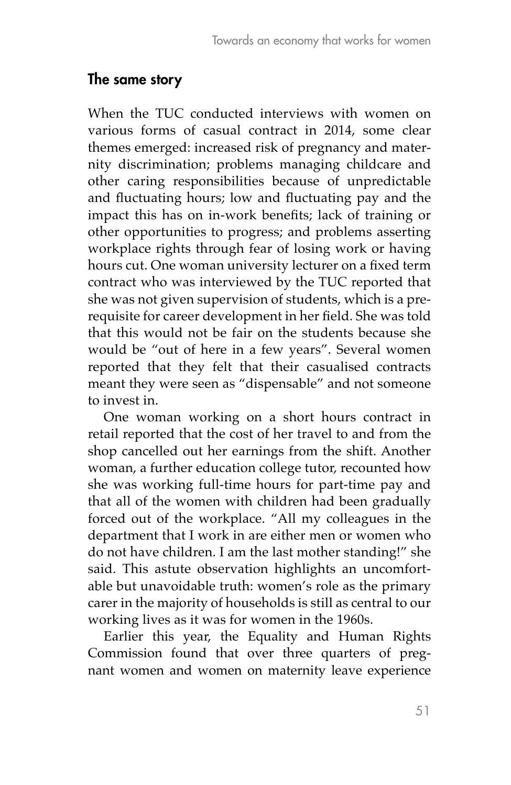## The same story

When the TUC conducted interviews with women on various forms of casual contract in 2014, some clear themes emerged: increased risk of pregnancy and maternity discrimination; problems managing childcare and other caring responsibilities because of unpredictable and fluctuating hours; low and fluctuating pay and the impact this has on in-work benefits; lack of training or other opportunities to progress; and problems asserting workplace rights through fear of losing work or having hours cut. One woman university lecturer on a fixed term contract who was interviewed by the TUC reported that she was not given supervision of students, which is a prerequisite for career development in her field. She was told that this would not be fair on the students because she would be "out of here in a few years". Several women reported that they felt that their casualised contracts meant they were seen as "dispensable" and not someone to invest in.

One woman working on a short hours contract in retail reported that the cost of her travel to and from the shop cancelled out her earnings from the shift. Another woman, a further education college tutor, recounted how she was working full-time hours for part-time pay and that all of the women with children had been gradually forced out of the workplace. "All my colleagues in the department that I work in are either men or women who do not have children. I am the last mother standing!" she said. This astute observation highlights an uncomfortable but unavoidable truth: women's role as the primary carer in the majority of households is still as central to our working lives as it was for women in the 1960s.

Earlier this year, the Equality and Human Rights Commission found that over three quarters of pregnant women and women on maternity leave experience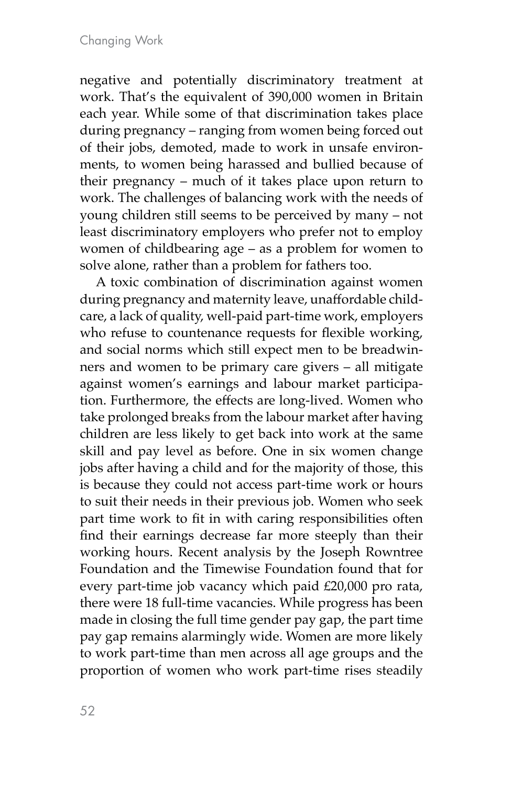negative and potentially discriminatory treatment at work. That's the equivalent of 390,000 women in Britain each year. While some of that discrimination takes place during pregnancy – ranging from women being forced out of their jobs, demoted, made to work in unsafe environments, to women being harassed and bullied because of their pregnancy – much of it takes place upon return to work. The challenges of balancing work with the needs of young children still seems to be perceived by many – not least discriminatory employers who prefer not to employ women of childbearing age – as a problem for women to solve alone, rather than a problem for fathers too.

A toxic combination of discrimination against women during pregnancy and maternity leave, unaffordable childcare, a lack of quality, well-paid part-time work, employers who refuse to countenance requests for flexible working, and social norms which still expect men to be breadwinners and women to be primary care givers – all mitigate against women's earnings and labour market participation. Furthermore, the effects are long-lived. Women who take prolonged breaks from the labour market after having children are less likely to get back into work at the same skill and pay level as before. One in six women change jobs after having a child and for the majority of those, this is because they could not access part-time work or hours to suit their needs in their previous job. Women who seek part time work to fit in with caring responsibilities often find their earnings decrease far more steeply than their working hours. Recent analysis by the Joseph Rowntree Foundation and the Timewise Foundation found that for every part-time job vacancy which paid £20,000 pro rata, there were 18 full-time vacancies. While progress has been made in closing the full time gender pay gap, the part time pay gap remains alarmingly wide. Women are more likely to work part-time than men across all age groups and the proportion of women who work part-time rises steadily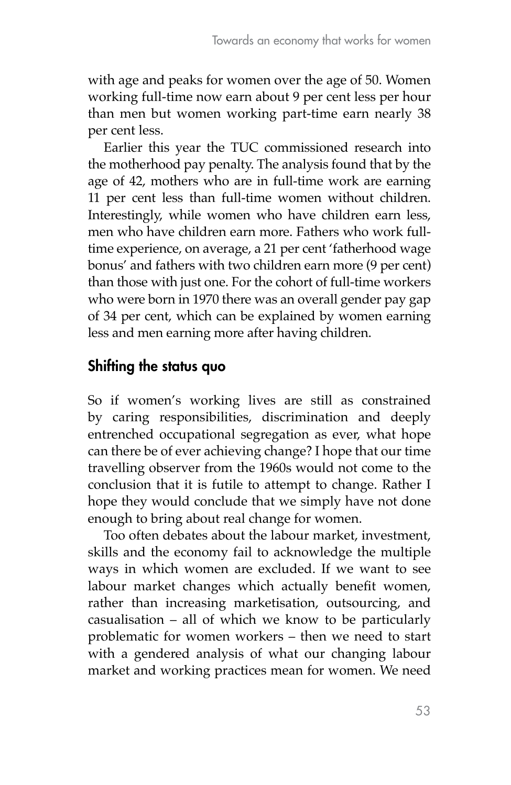with age and peaks for women over the age of 50. Women working full-time now earn about 9 per cent less per hour than men but women working part-time earn nearly 38 per cent less.

Earlier this year the TUC commissioned research into the motherhood pay penalty. The analysis found that by the age of 42, mothers who are in full-time work are earning 11 per cent less than full-time women without children. Interestingly, while women who have children earn less, men who have children earn more. Fathers who work fulltime experience, on average, a 21 per cent 'fatherhood wage bonus' and fathers with two children earn more (9 per cent) than those with just one. For the cohort of full-time workers who were born in 1970 there was an overall gender pay gap of 34 per cent, which can be explained by women earning less and men earning more after having children.

## Shifting the status quo

So if women's working lives are still as constrained by caring responsibilities, discrimination and deeply entrenched occupational segregation as ever, what hope can there be of ever achieving change? I hope that our time travelling observer from the 1960s would not come to the conclusion that it is futile to attempt to change. Rather I hope they would conclude that we simply have not done enough to bring about real change for women.

Too often debates about the labour market, investment, skills and the economy fail to acknowledge the multiple ways in which women are excluded. If we want to see labour market changes which actually benefit women, rather than increasing marketisation, outsourcing, and casualisation – all of which we know to be particularly problematic for women workers – then we need to start with a gendered analysis of what our changing labour market and working practices mean for women. We need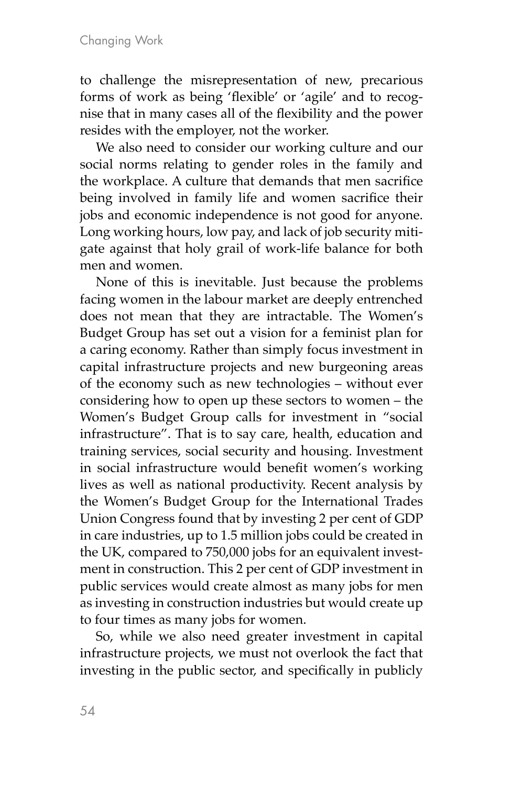to challenge the misrepresentation of new, precarious forms of work as being 'flexible' or 'agile' and to recognise that in many cases all of the flexibility and the power resides with the employer, not the worker.

We also need to consider our working culture and our social norms relating to gender roles in the family and the workplace. A culture that demands that men sacrifice being involved in family life and women sacrifice their jobs and economic independence is not good for anyone. Long working hours, low pay, and lack of job security mitigate against that holy grail of work-life balance for both men and women.

None of this is inevitable. Just because the problems facing women in the labour market are deeply entrenched does not mean that they are intractable. The Women's Budget Group has set out a vision for a feminist plan for a caring economy. Rather than simply focus investment in capital infrastructure projects and new burgeoning areas of the economy such as new technologies – without ever considering how to open up these sectors to women – the Women's Budget Group calls for investment in "social infrastructure". That is to say care, health, education and training services, social security and housing. Investment in social infrastructure would benefit women's working lives as well as national productivity. Recent analysis by the Women's Budget Group for the International Trades Union Congress found that by investing 2 per cent of GDP in care industries, up to 1.5 million jobs could be created in the UK, compared to 750,000 jobs for an equivalent investment in construction. This 2 per cent of GDP investment in public services would create almost as many jobs for men as investing in construction industries but would create up to four times as many jobs for women.

So, while we also need greater investment in capital infrastructure projects, we must not overlook the fact that investing in the public sector, and specifically in publicly